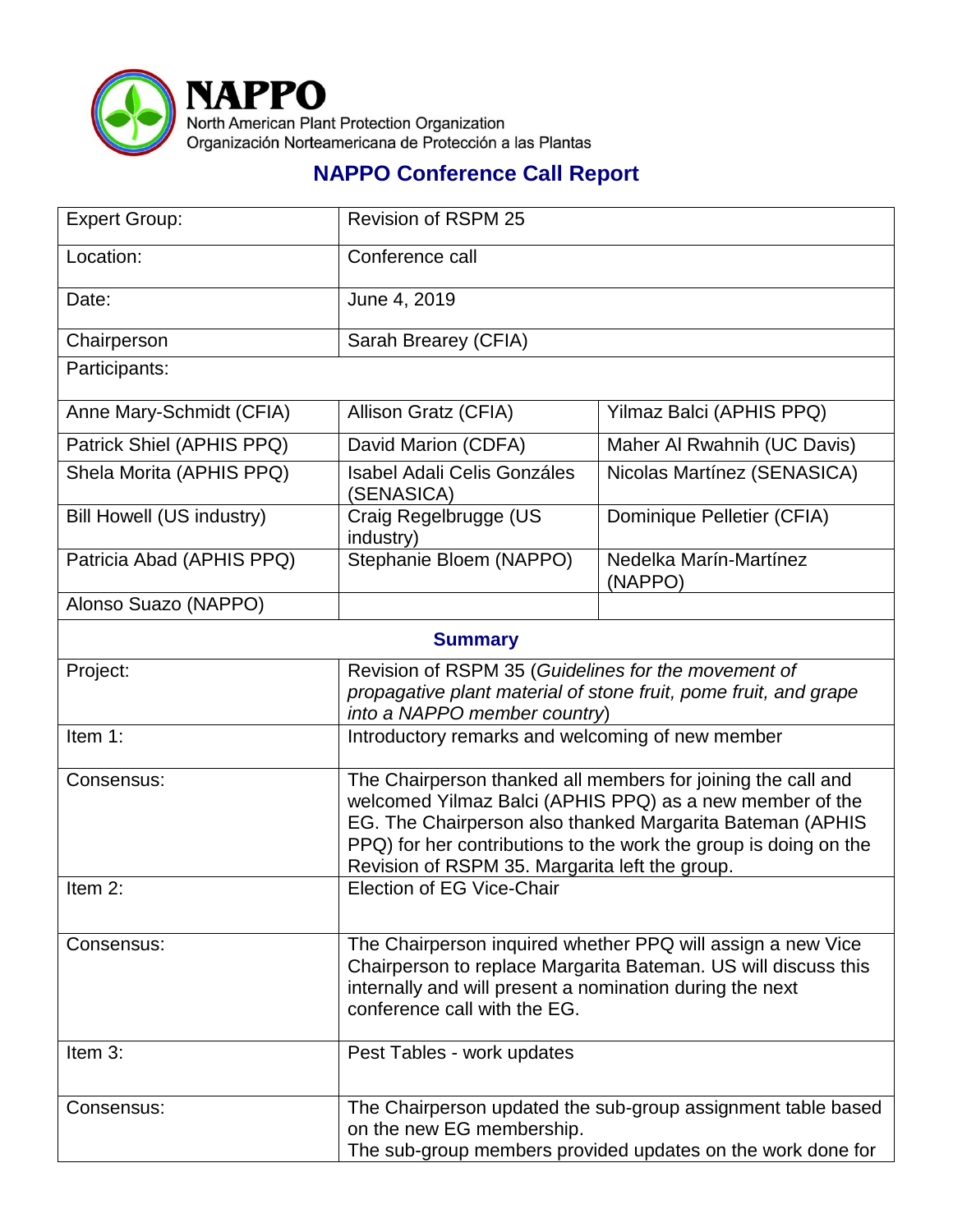

## **NAPPO Conference Call Report**

| <b>Expert Group:</b>             | <b>Revision of RSPM 25</b>                                                                                                                                                                                                                                                                                  |                                   |  |
|----------------------------------|-------------------------------------------------------------------------------------------------------------------------------------------------------------------------------------------------------------------------------------------------------------------------------------------------------------|-----------------------------------|--|
| Location:                        | Conference call                                                                                                                                                                                                                                                                                             |                                   |  |
| Date:                            | June 4, 2019                                                                                                                                                                                                                                                                                                |                                   |  |
| Chairperson                      | Sarah Brearey (CFIA)                                                                                                                                                                                                                                                                                        |                                   |  |
| Participants:                    |                                                                                                                                                                                                                                                                                                             |                                   |  |
| Anne Mary-Schmidt (CFIA)         | Allison Gratz (CFIA)                                                                                                                                                                                                                                                                                        | Yilmaz Balci (APHIS PPQ)          |  |
| Patrick Shiel (APHIS PPQ)        | David Marion (CDFA)                                                                                                                                                                                                                                                                                         | Maher Al Rwahnih (UC Davis)       |  |
| Shela Morita (APHIS PPQ)         | <b>Isabel Adali Celis Gonzáles</b><br>(SENASICA)                                                                                                                                                                                                                                                            | Nicolas Martínez (SENASICA)       |  |
| <b>Bill Howell (US industry)</b> | Craig Regelbrugge (US<br>industry)                                                                                                                                                                                                                                                                          | Dominique Pelletier (CFIA)        |  |
| Patricia Abad (APHIS PPQ)        | Stephanie Bloem (NAPPO)                                                                                                                                                                                                                                                                                     | Nedelka Marín-Martínez<br>(NAPPO) |  |
| Alonso Suazo (NAPPO)             |                                                                                                                                                                                                                                                                                                             |                                   |  |
| <b>Summary</b>                   |                                                                                                                                                                                                                                                                                                             |                                   |  |
| Project:                         | Revision of RSPM 35 (Guidelines for the movement of<br>propagative plant material of stone fruit, pome fruit, and grape<br>into a NAPPO member country)                                                                                                                                                     |                                   |  |
| Item 1:                          | Introductory remarks and welcoming of new member                                                                                                                                                                                                                                                            |                                   |  |
| Consensus:                       | The Chairperson thanked all members for joining the call and<br>welcomed Yilmaz Balci (APHIS PPQ) as a new member of the<br>EG. The Chairperson also thanked Margarita Bateman (APHIS<br>PPQ) for her contributions to the work the group is doing on the<br>Revision of RSPM 35. Margarita left the group. |                                   |  |
| Item 2:                          | Election of EG Vice-Chair                                                                                                                                                                                                                                                                                   |                                   |  |
| Consensus:                       | The Chairperson inquired whether PPQ will assign a new Vice<br>Chairperson to replace Margarita Bateman. US will discuss this<br>internally and will present a nomination during the next<br>conference call with the EG.                                                                                   |                                   |  |
| Item 3:                          | Pest Tables - work updates                                                                                                                                                                                                                                                                                  |                                   |  |
| Consensus:                       | The Chairperson updated the sub-group assignment table based<br>on the new EG membership.<br>The sub-group members provided updates on the work done for                                                                                                                                                    |                                   |  |